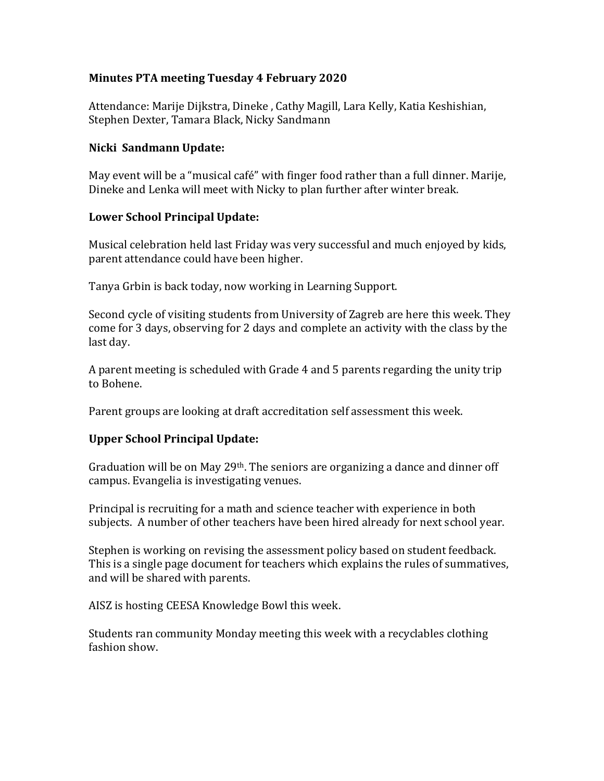## **Minutes PTA meeting Tuesday 4 February 2020**

Attendance: Marije Dijkstra, Dineke , Cathy Magill, Lara Kelly, Katia Keshishian, Stephen Dexter, Tamara Black, Nicky Sandmann

### **Nicki Sandmann Update:**

May event will be a "musical café" with finger food rather than a full dinner. Marije, Dineke and Lenka will meet with Nicky to plan further after winter break.

## **Lower School Principal Update:**

Musical celebration held last Friday was very successful and much enjoyed by kids, parent attendance could have been higher.

Tanya Grbin is back today, now working in Learning Support.

Second cycle of visiting students from University of Zagreb are here this week. They come for 3 days, observing for 2 days and complete an activity with the class by the last day.

A parent meeting is scheduled with Grade 4 and 5 parents regarding the unity trip to Bohene.

Parent groups are looking at draft accreditation self assessment this week.

# **Upper School Principal Update:**

Graduation will be on May 29th. The seniors are organizing a dance and dinner off campus. Evangelia is investigating venues.

Principal is recruiting for a math and science teacher with experience in both subjects. A number of other teachers have been hired already for next school year.

Stephen is working on revising the assessment policy based on student feedback. This is a single page document for teachers which explains the rules of summatives, and will be shared with parents.

AISZ is hosting CEESA Knowledge Bowl this week.

Students ran community Monday meeting this week with a recyclables clothing fashion show.